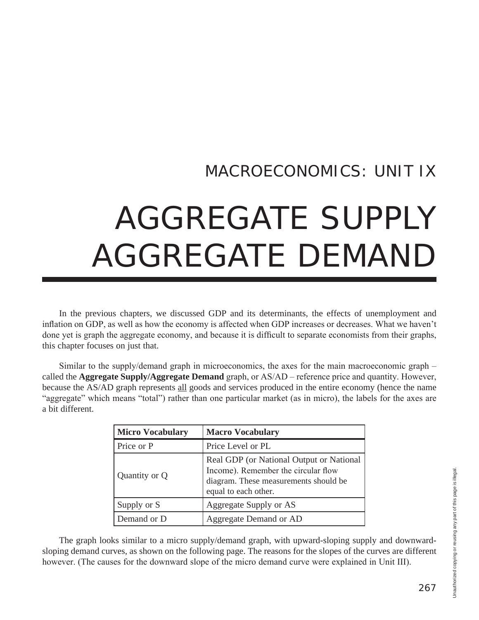# MACROECONOMICS: UNIT IX

# AGGREGATE SUPPLY AGGREGATE DEMAND

In the previous chapters, we discussed GDP and its determinants, the effects of unemployment and inflation on GDP, as well as how the economy is affected when GDP increases or decreases. What we haven't done yet is graph the aggregate economy, and because it is difficult to separate economists from their graphs, this chapter focuses on just that.

Similar to the supply/demand graph in microeconomics, the axes for the main macroeconomic graph – called the **Aggregate Supply/Aggregate Demand** graph, or AS/AD – reference price and quantity. However, because the AS/AD graph represents all goods and services produced in the entire economy (hence the name "aggregate" which means "total") rather than one particular market (as in micro), the labels for the axes are a bit different.

| <b>Micro Vocabulary</b> | <b>Macro Vocabulary</b>                                                                                                                          |
|-------------------------|--------------------------------------------------------------------------------------------------------------------------------------------------|
| Price or P              | Price Level or PL                                                                                                                                |
| Quantity or Q           | Real GDP (or National Output or National<br>Income). Remember the circular flow<br>diagram. These measurements should be<br>equal to each other. |
| Supply or S             | Aggregate Supply or AS                                                                                                                           |
| Demand or D             | Aggregate Demand or AD                                                                                                                           |

The graph looks similar to a micro supply/demand graph, with upward-sloping supply and downwardsloping demand curves, as shown on the following page. The reasons for the slopes of the curves are different however. (The causes for the downward slope of the micro demand curve were explained in Unit III).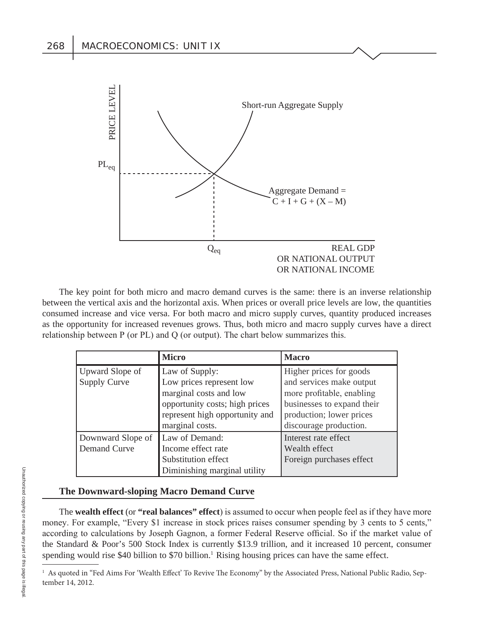

The key point for both micro and macro demand curves is the same: there is an inverse relationship between the vertical axis and the horizontal axis. When prices or overall price levels are low, the quantities consumed increase and vice versa. For both macro and micro supply curves, quantity produced increases as the opportunity for increased revenues grows. Thus, both micro and macro supply curves have a direct relationship between  $P$  (or  $PL$ ) and  $Q$  (or output). The chart below summarizes this.

|                     | <b>Micro</b>                   | <b>Macro</b>               |
|---------------------|--------------------------------|----------------------------|
| Upward Slope of     | Law of Supply:                 | Higher prices for goods    |
| <b>Supply Curve</b> | Low prices represent low       | and services make output   |
|                     | marginal costs and low         | more profitable, enabling  |
|                     | opportunity costs; high prices | businesses to expand their |
|                     | represent high opportunity and | production; lower prices   |
|                     | marginal costs.                | discourage production.     |
| Downward Slope of   | Law of Demand:                 | Interest rate effect       |
| Demand Curve        | Income effect rate             | Wealth effect              |
|                     | Substitution effect            | Foreign purchases effect   |
|                     | Diminishing marginal utility   |                            |

#### **The Downward-sloping Macro Demand Curve**

The **wealth effect** (or "real balances" effect) is assumed to occur when people feel as if they have more money. For example, "Every \$1 increase in stock prices raises consumer spending by 3 cents to 5 cents," according to calculations by Joseph Gagnon, a former Federal Reserve official. So if the market value of the Standard & Poor's 500 Stock Index is currently \$13.9 trillion, and it increased 10 percent, consumer spending would rise \$40 billion to \$70 billion.<sup>1</sup> Rising housing prices can have the same effect.

<sup>&</sup>lt;sup>1</sup> As quoted in "Fed Aims For 'Wealth Effect' To Revive The Economy" by the Associated Press, National Public Radio, September 14, 2012.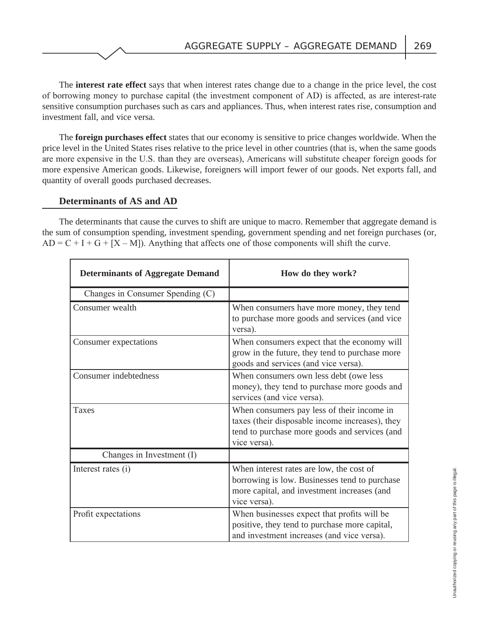The **interest rate effect** says that when interest rates change due to a change in the price level, the cost of borrowing money to purchase capital (the investment component of AD) is affected, as are interest-rate sensitive consumption purchases such as cars and appliances. Thus, when interest rates rise, consumption and investment fall, and vice versa.

The **foreign purchases effect** states that our economy is sensitive to price changes worldwide. When the price level in the United States rises relative to the price level in other countries (that is, when the same goods are more expensive in the U.S. than they are overseas), Americans will substitute cheaper foreign goods for more expensive American goods. Likewise, foreigners will import fewer of our goods. Net exports fall, and quantity of overall goods purchased decreases.

#### **Determinants of AS and AD**

The determinants that cause the curves to shift are unique to macro. Remember that aggregate demand is the sum of consumption spending, investment spending, government spending and net foreign purchases (or,  $AD = C + I + G + [X - M]$ ). Anything that affects one of those components will shift the curve.

| <b>Determinants of Aggregate Demand</b> | How do they work?                                                                                                                                              |
|-----------------------------------------|----------------------------------------------------------------------------------------------------------------------------------------------------------------|
| Changes in Consumer Spending (C)        |                                                                                                                                                                |
| Consumer wealth                         | When consumers have more money, they tend<br>to purchase more goods and services (and vice<br>versa).                                                          |
| Consumer expectations                   | When consumers expect that the economy will<br>grow in the future, they tend to purchase more<br>goods and services (and vice versa).                          |
| Consumer indebtedness                   | When consumers own less debt (owe less<br>money), they tend to purchase more goods and<br>services (and vice versa).                                           |
| Taxes                                   | When consumers pay less of their income in<br>taxes (their disposable income increases), they<br>tend to purchase more goods and services (and<br>vice versa). |
| Changes in Investment (I)               |                                                                                                                                                                |
| Interest rates (i)                      | When interest rates are low, the cost of<br>borrowing is low. Businesses tend to purchase<br>more capital, and investment increases (and<br>vice versa).       |
| Profit expectations                     | When businesses expect that profits will be<br>positive, they tend to purchase more capital,<br>and investment increases (and vice versa).                     |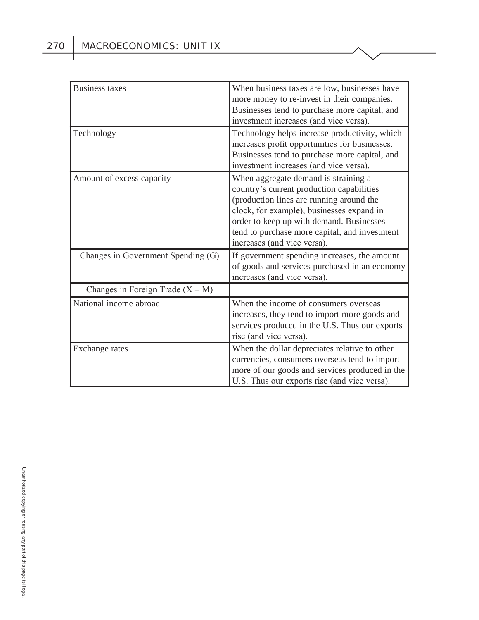| <b>Business taxes</b>              | When business taxes are low, businesses have<br>more money to re-invest in their companies.<br>Businesses tend to purchase more capital, and<br>investment increases (and vice versa).                                                                                                                 |
|------------------------------------|--------------------------------------------------------------------------------------------------------------------------------------------------------------------------------------------------------------------------------------------------------------------------------------------------------|
| Technology                         | Technology helps increase productivity, which<br>increases profit opportunities for businesses.<br>Businesses tend to purchase more capital, and<br>investment increases (and vice versa).                                                                                                             |
| Amount of excess capacity          | When aggregate demand is straining a<br>country's current production capabilities<br>(production lines are running around the<br>clock, for example), businesses expand in<br>order to keep up with demand. Businesses<br>tend to purchase more capital, and investment<br>increases (and vice versa). |
| Changes in Government Spending (G) | If government spending increases, the amount<br>of goods and services purchased in an economy<br>increases (and vice versa).                                                                                                                                                                           |
| Changes in Foreign Trade $(X - M)$ |                                                                                                                                                                                                                                                                                                        |
| National income abroad             | When the income of consumers overseas<br>increases, they tend to import more goods and<br>services produced in the U.S. Thus our exports<br>rise (and vice versa).                                                                                                                                     |
| Exchange rates                     | When the dollar depreciates relative to other<br>currencies, consumers overseas tend to import<br>more of our goods and services produced in the<br>U.S. Thus our exports rise (and vice versa).                                                                                                       |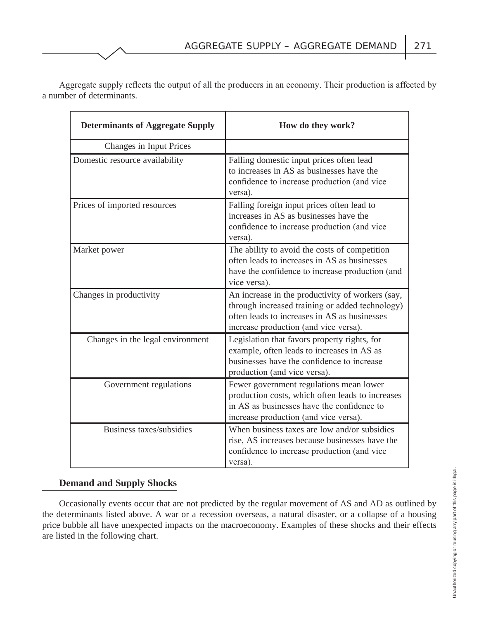Aggregate supply reflects the output of all the producers in an economy. Their production is affected by a number of determinants.

| <b>Determinants of Aggregate Supply</b> | How do they work?                                                                                                                                                                            |  |
|-----------------------------------------|----------------------------------------------------------------------------------------------------------------------------------------------------------------------------------------------|--|
| Changes in Input Prices                 |                                                                                                                                                                                              |  |
| Domestic resource availability          | Falling domestic input prices often lead<br>to increases in AS as businesses have the<br>confidence to increase production (and vice<br>versa).                                              |  |
| Prices of imported resources            | Falling foreign input prices often lead to<br>increases in AS as businesses have the<br>confidence to increase production (and vice<br>versa).                                               |  |
| Market power                            | The ability to avoid the costs of competition<br>often leads to increases in AS as businesses<br>have the confidence to increase production (and<br>vice versa).                             |  |
| Changes in productivity                 | An increase in the productivity of workers (say,<br>through increased training or added technology)<br>often leads to increases in AS as businesses<br>increase production (and vice versa). |  |
| Changes in the legal environment        | Legislation that favors property rights, for<br>example, often leads to increases in AS as<br>businesses have the confidence to increase<br>production (and vice versa).                     |  |
| Government regulations                  | Fewer government regulations mean lower<br>production costs, which often leads to increases<br>in AS as businesses have the confidence to<br>increase production (and vice versa).           |  |
| Business taxes/subsidies                | When business taxes are low and/or subsidies<br>rise, AS increases because businesses have the<br>confidence to increase production (and vice<br>versa).                                     |  |

#### **Demand and Supply Shocks**

Occasionally events occur that are not predicted by the regular movement of AS and AD as outlined by the determinants listed above. A war or a recession overseas, a natural disaster, or a collapse of a housing price bubble all have unexpected impacts on the macroeconomy. Examples of these shocks and their effects are listed in the following chart.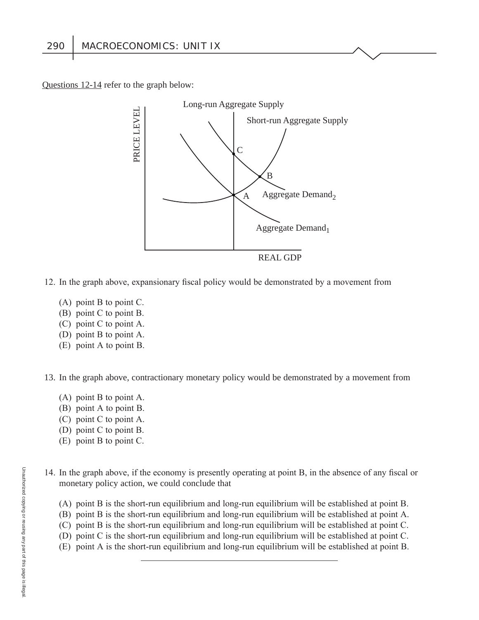Questions 12-14 refer to the graph below:



- 12. In the graph above, expansionary fiscal policy would be demonstrated by a movement from
	- (A) point B to point C.
	- $(B)$  point C to point B.
	- $(C)$  point C to point A.
	- (D) point B to point A.
	- $(E)$  point A to point B.

13. In the graph above, contractionary monetary policy would be demonstrated by a movement from

- (A) point B to point A.
- $(B)$  point A to point B.
- $(C)$  point C to point A.
- (D) point  $C$  to point  $B$ .
- $(E)$  point B to point C.
- 14. In the graph above, if the economy is presently operating at point B, in the absence of any fiscal or monetary policy action, we could conclude that
	- (A) point B is the short-run equilibrium and long-run equilibrium will be established at point B.
	- $(B)$  point B is the short-run equilibrium and long-run equilibrium will be established at point A.
	- $(C)$  point B is the short-run equilibrium and long-run equilibrium will be established at point C.
	- (D) point C is the short-run equilibrium and long-run equilibrium will be established at point C.
	- $(E)$  point A is the short-run equilibrium and long-run equilibrium will be established at point B.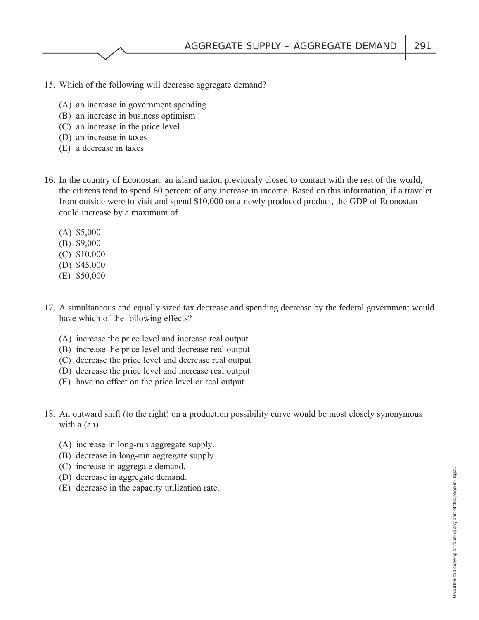- 15. Which of the following will decrease aggregate demand?
	- $(A)$  an increase in government spending
	- $(B)$  an increase in business optimism
	- $(C)$  an increase in the price level
	- $(D)$  an increase in taxes
	- $(E)$  a decrease in taxes
- 16. In the country of Econostan, an island nation previously closed to contact with the rest of the world, the citizens tend to spend 80 percent of any increase in income. Based on this information, if a traveler from outside were to visit and spend \$10,000 on a newly produced product, the GDP of Econostan could increase by a maximum of
	- $(A)$  \$5,000
	- $(B)$  \$9,000
	- $(C)$  \$10,000
	- $(D)$  \$45,000
	- $(E)$  \$50,000
- 17. A simultaneous and equally sized tax decrease and spending decrease by the federal government would have which of the following effects?
	- (A) increase the price level and increase real output
	- (B) increase the price level and decrease real output
	- (C) decrease the price level and decrease real output
	- (D) decrease the price level and increase real output
	- $(E)$  have no effect on the price level or real output
- 18. An outward shift (to the right) on a production possibility curve would be most closely synonymous with a  $(an)$ 
	- $(A)$  increase in long-run aggregate supply.
	- $(B)$  decrease in long-run aggregate supply.
	- $(C)$  increase in aggregate demand.
	- (D) decrease in aggregate demand.
	- $(E)$  decrease in the capacity utilization rate.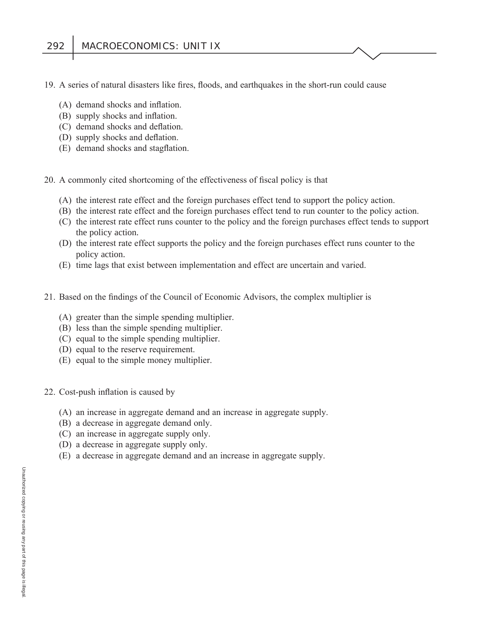- 19. A series of natural disasters like fires, floods, and earthquakes in the short-run could cause
	- $(A)$  demand shocks and inflation.
	- $(B)$  supply shocks and inflation.
	- $(C)$  demand shocks and deflation.
	- (D) supply shocks and deflation.
	- (E) demand shocks and stagflation.
- 20. A commonly cited shortcoming of the effectiveness of fiscal policy is that
	- $(A)$  the interest rate effect and the foreign purchases effect tend to support the policy action.
	- (B) the interest rate effect and the foreign purchases effect tend to run counter to the policy action.
	- $(C)$  the interest rate effect runs counter to the policy and the foreign purchases effect tends to support the policy action.
	- (D) the interest rate effect supports the policy and the foreign purchases effect runs counter to the policy action.
	- (E) time lags that exist between implementation and effect are uncertain and varied.
- 21. Based on the findings of the Council of Economic Advisors, the complex multiplier is
	- $(A)$  greater than the simple spending multiplier.
	- $(B)$  less than the simple spending multiplier.
	- $(C)$  equal to the simple spending multiplier.
	- (D) equal to the reserve requirement.
	- $(E)$  equal to the simple money multiplier.
- 22. Cost-push inflation is caused by
	- $(A)$  an increase in aggregate demand and an increase in aggregate supply.
	- $(B)$  a decrease in aggregate demand only.
	- $(C)$  an increase in aggregate supply only.
	- (D) a decrease in aggregate supply only.
	- $(E)$  a decrease in aggregate demand and an increase in aggregate supply.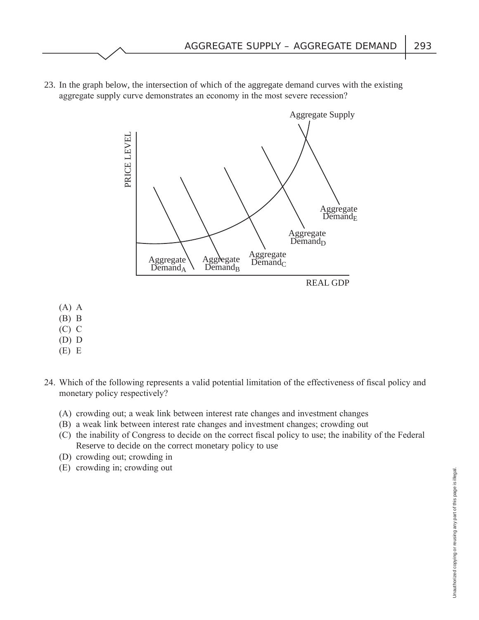23. In the graph below, the intersection of which of the aggregate demand curves with the existing aggregate supply curve demonstrates an economy in the most severe recession?



- $(A)$  A
- $(B)$  B
- $(C)$   $C$
- $(D)$   $D$
- $(E) E$
- 24. Which of the following represents a valid potential limitation of the effectiveness of fiscal policy and monetary policy respectively?
	- (A) crowding out; a weak link between interest rate changes and investment changes
	- (B) a weak link between interest rate changes and investment changes; crowding out
	- $(C)$  the inability of Congress to decide on the correct fiscal policy to use; the inability of the Federal Reserve to decide on the correct monetary policy to use
	- $(D)$  crowding out; crowding in
	- $(E)$  crowding in; crowding out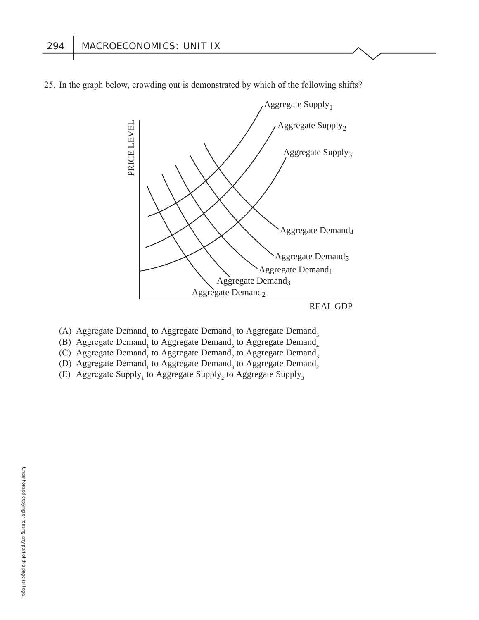

25. In the graph below, crowding out is demonstrated by which of the following shifts?

- (A) Aggregate Demand<sub>1</sub> to Aggregate Demand<sub>4</sub> to Aggregate Demand<sub>5</sub>
- (B) Aggregate Demand<sub>1</sub> to Aggregate Demand<sub>5</sub> to Aggregate Demand<sub>4</sub>
- (C) Aggregate Demand<sub>1</sub> to Aggregate Demand<sub>2</sub> to Aggregate Demand<sub>3</sub>
- (D) Aggregate Demand<sub>1</sub> to Aggregate Demand<sub>3</sub> to Aggregate Demand<sub>2</sub>
- (E) Aggregate Supply<sub>1</sub> to Aggregate Supply<sub>2</sub> to Aggregate Supply<sub>3</sub>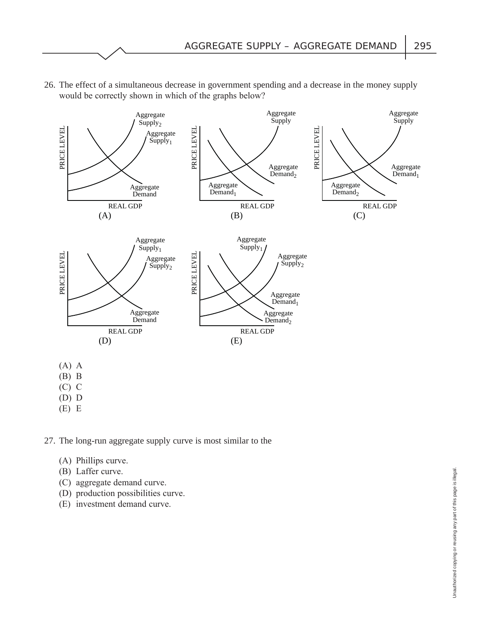

 26. The effect of a simultaneous decrease in government spending and a decrease in the money supply would be correctly shown in which of the graphs below?

27. The long-run aggregate supply curve is most similar to the

- (A) Phillips curve.
- (B) Laffer curve.
- (C) aggregate demand curve.
- (D) production possibilities curve.
- (E) investment demand curve.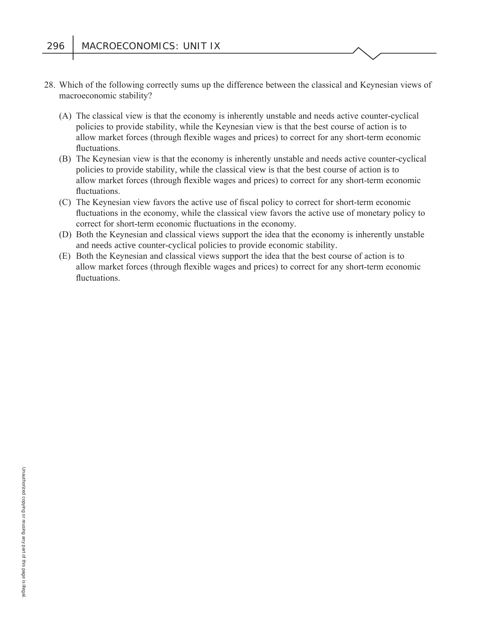- 28. Which of the following correctly sums up the difference between the classical and Keynesian views of macroeconomic stability?
	- (A) The classical view is that the economy is inherently unstable and needs active counter-cyclical policies to provide stability, while the Keynesian view is that the best course of action is to allow market forces (through flexible wages and prices) to correct for any short-term economic fluctuations.
	- (B) The Keynesian view is that the economy is inherently unstable and needs active counter-cyclical policies to provide stability, while the classical view is that the best course of action is to allow market forces (through flexible wages and prices) to correct for any short-term economic fluctuations.
	- (C) The Keynesian view favors the active use of fiscal policy to correct for short-term economic fluctuations in the economy, while the classical view favors the active use of monetary policy to correct for short-term economic fluctuations in the economy.
	- (D) Both the Keynesian and classical views support the idea that the economy is inherently unstable and needs active counter-cyclical policies to provide economic stability.
	- (E) Both the Keynesian and classical views support the idea that the best course of action is to allow market forces (through flexible wages and prices) to correct for any short-term economic fluctuations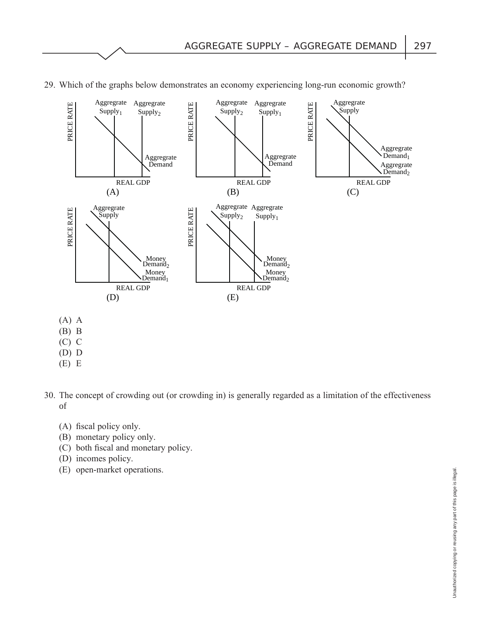

29. Which of the graphs below demonstrates an economy experiencing long-run economic growth?

- $(A)$  A
- $(B)$  B
- $(C)$   $C$
- $(D)$   $D$
- $(E) E$
- 30. The concept of crowding out (or crowding in) is generally regarded as a limitation of the effectiveness of
	- $(A)$  fiscal policy only.
	- $(B)$  monetary policy only.
	- $(C)$  both fiscal and monetary policy.
	- $(D)$  incomes policy.
	- (E) open-market operations.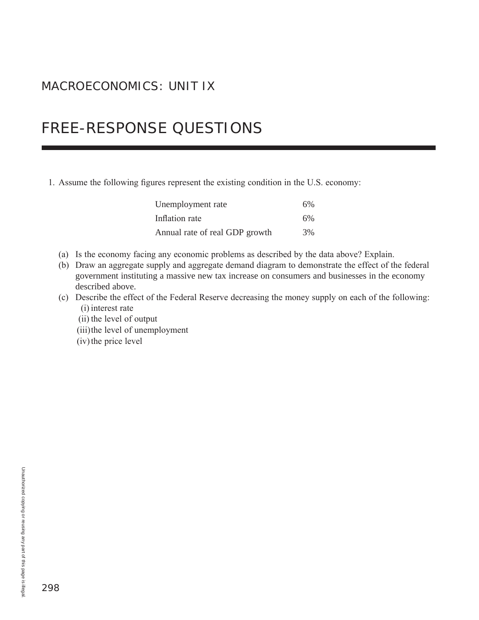### MACROECONOMICS: UNIT IX

## **FREE-RESPONSE QUESTIONS**

#### 1. Assume the following figures represent the existing condition in the U.S. economy:

| Unemployment rate              | 6% |
|--------------------------------|----|
| Inflation rate                 | 6% |
| Annual rate of real GDP growth | 3% |

- (a) Is the economy facing any economic problems as described by the data above? Explain.
- (b) Draw an aggregate supply and aggregate demand diagram to demonstrate the effect of the federal government instituting a massive new tax increase on consumers and businesses in the economy described above.
- (c) Describe the effect of the Federal Reserve decreasing the money supply on each of the following: (i) interest rate
	- (ii) the level of output
	- (iii) the level of unemployment
	- (iv) the price level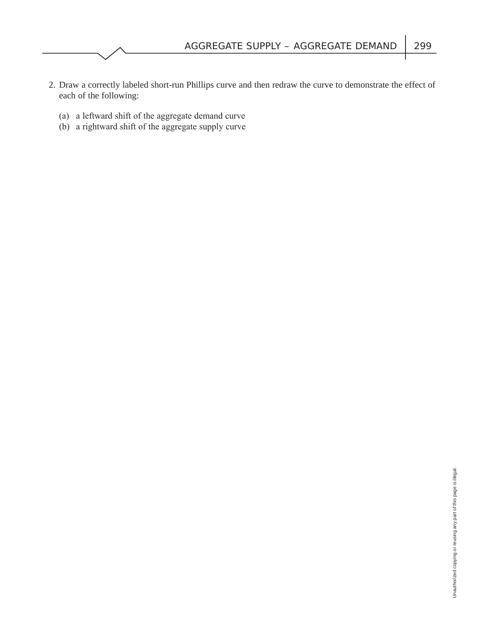- 2. Draw a correctly labeled short-run Phillips curve and then redraw the curve to demonstrate the effect of each of the following:
	- (a) a leftward shift of the aggregate demand curve
	- $(b)$  a rightward shift of the aggregate supply curve